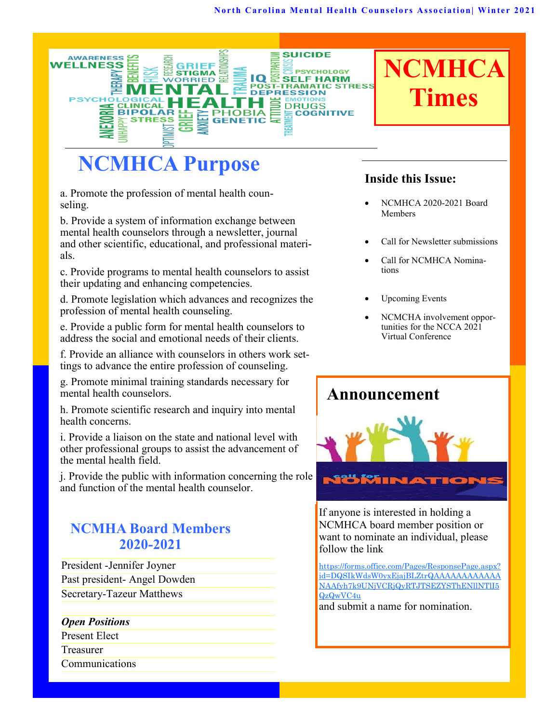#### **North Carolina Mental Health Counselors Association | Winter 2021**



# **NCMHCA Purpose**

a. Promote the profession of mental health counseling.

b. Provide a system of information exchange between mental health counselors through a newsletter, journal and other scientific, educational, and professional materials.

c. Provide programs to mental health counselors to assist their updating and enhancing competencies.

d. Promote legislation which advances and recognizes the profession of mental health counseling.

e. Provide a public form for mental health counselors to address the social and emotional needs of their clients.

f. Provide an alliance with counselors in others work settings to advance the entire profession of counseling.

g. Promote minimal training standards necessary for mental health counselors.

h. Promote scientific research and inquiry into mental health concerns.

i. Provide a liaison on the state and national level with other professional groups to assist the advancement of the mental health field.

j. Provide the public with information concerning the role and function of the mental health counselor.

# **NCMHA Board Members 2020-2021**

President -Jennifer Joyner Past president- Angel Dowden Secretary-Tazeur Matthews

#### *Open Positions*

Present Elect

Treasurer

Communications

#### **Inside this Issue:**

- NCMHCA 2020-2021 Board Members
- Call for Newsletter submissions
- Call for NCMHCA Nominations
- Upcoming Events
- NCMCHA involvement opportunities for the NCCA 2021 Virtual Conference

## **Announcement**



If anyone is interested in holding a NCMHCA board member position or want to nominate an individual, please follow the link

[https://forms.office.com/Pages/ResponsePage.aspx?](https://forms.office.com/Pages/ResponsePage.aspx?id=DQSIkWdsW0yxEjajBLZtrQAAAAAAAAAAAANAAfyh7k9UNjVCRjQyRTJTSEZYSThENllNTlI5QzQwVC4u) [id=DQSIkWdsW0yxEjajBLZtrQAAAAAAAAAAAA](https://forms.office.com/Pages/ResponsePage.aspx?id=DQSIkWdsW0yxEjajBLZtrQAAAAAAAAAAAANAAfyh7k9UNjVCRjQyRTJTSEZYSThENllNTlI5QzQwVC4u) [NAAfyh7k9UNjVCRjQyRTJTSEZYSThENllNTlI5](https://forms.office.com/Pages/ResponsePage.aspx?id=DQSIkWdsW0yxEjajBLZtrQAAAAAAAAAAAANAAfyh7k9UNjVCRjQyRTJTSEZYSThENllNTlI5QzQwVC4u) [QzQwVC4u](https://forms.office.com/Pages/ResponsePage.aspx?id=DQSIkWdsW0yxEjajBLZtrQAAAAAAAAAAAANAAfyh7k9UNjVCRjQyRTJTSEZYSThENllNTlI5QzQwVC4u)

and submit a name for nomination.